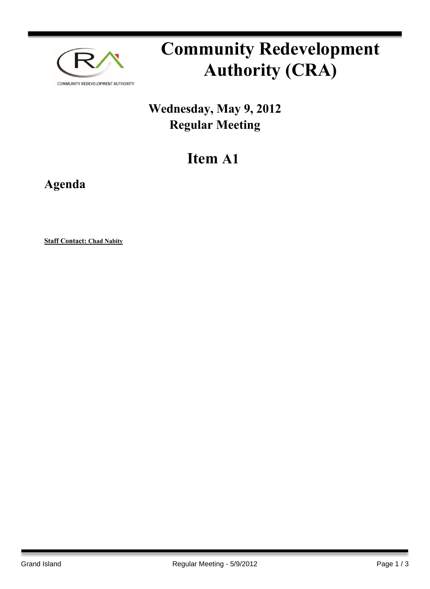

# **Community Redevelopment Authority (CRA)**

## **Wednesday, May 9, 2012 Regular Meeting**

## **Item A1**

**Agenda**

**Staff Contact: Chad Nabity**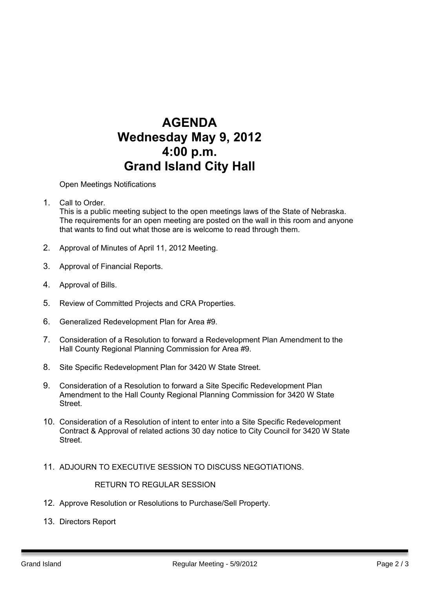### **AGENDA Wednesday May 9, 2012 4:00 p.m. Grand Island City Hall**

Open Meetings Notifications

1. Call to Order. Barry Sandstrom Call to Order.

This is a public meeting subject to the open meetings laws of the State of Nebraska. The requirements for an open meeting are posted on the wall in this room and anyone that wants to find out what those are is welcome to read through them.

- 2. Approval of Minutes of April 11, 2012 Meeting.
- 3. Approval of Financial Reports.
- 4. Approval of Bills.
- 5. Review of Committed Projects and CRA Properties.
- 6. Generalized Redevelopment Plan for Area #9.
- 7. Consideration of a Resolution to forward a Redevelopment Plan Amendment to the Hall County Regional Planning Commission for Area #9.
- 8. Site Specific Redevelopment Plan for 3420 W State Street.
- 9. Consideration of a Resolution to forward a Site Specific Redevelopment Plan Amendment to the Hall County Regional Planning Commission for 3420 W State Street.
- 10. Consideration of a Resolution of intent to enter into a Site Specific Redevelopment Contract & Approval of related actions 30 day notice to City Council for 3420 W State Street.
- 11. ADJOURN TO EXECUTIVE SESSION TO DISCUSS NEGOTIATIONS.

RETURN TO REGULAR SESSION

- 12. Approve Resolution or Resolutions to Purchase/Sell Property.
- 13. Directors Report